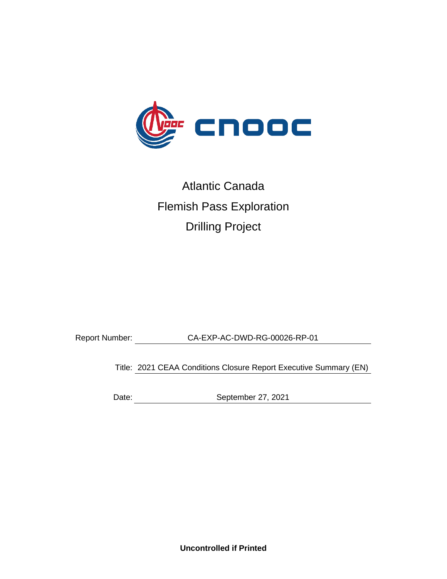

# Atlantic Canada Flemish Pass Exploration Drilling Project

Report Number: CA-EXP-AC-DWD-RG-00026-RP-01

Title: 2021 CEAA Conditions Closure Report Executive Summary (EN)

Date: September 27, 2021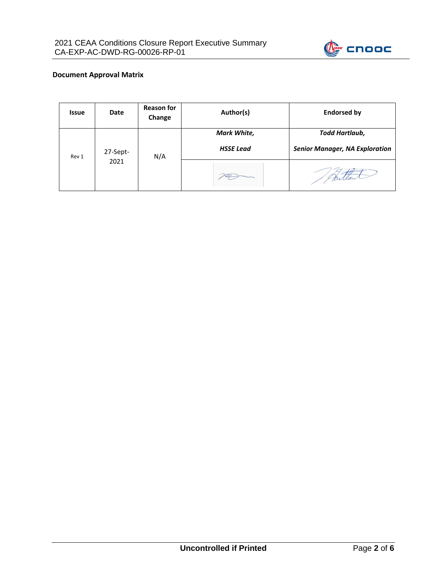

#### **Document Approval Matrix**

| <b>Issue</b> | Date             | <b>Reason for</b><br>Change | Author(s)                       | <b>Endorsed by</b>                                      |
|--------------|------------------|-----------------------------|---------------------------------|---------------------------------------------------------|
| Rev 1        | 27-Sept-<br>2021 | N/A                         | Mark White,<br><b>HSSE Lead</b> | Todd Hartlaub,<br><b>Senior Manager, NA Exploration</b> |
|              |                  |                             |                                 |                                                         |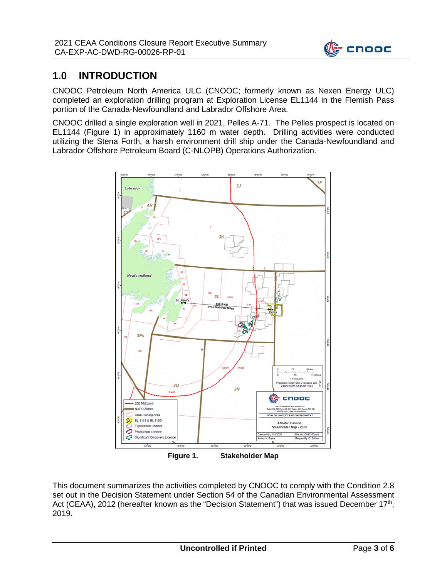

# **1.0 INTRODUCTION**

CNOOC Petroleum North America ULC (CNOOC; formerly known as Nexen Energy ULC) completed an exploration drilling program at Exploration License EL1144 in the Flemish Pass portion of the Canada-Newfoundland and Labrador Offshore Area.

CNOOC drilled a single exploration well in 2021, Pelles A-71. The Pelles prospect is located on EL1144 (Figure 1) in approximately 1160 m water depth. Drilling activities were conducted utilizing the Stena Forth, a harsh environment drill ship under the Canada-Newfoundland and Labrador Offshore Petroleum Board (C-NLOPB) Operations Authorization.



**Figure 1. Stakeholder Map**

This document summarizes the activities completed by CNOOC to comply with the Condition 2.8 set out in the Decision Statement under Section 54 of the Canadian Environmental Assessment Act (CEAA), 2012 (hereafter known as the "Decision Statement") that was issued December 17<sup>th</sup>, 2019.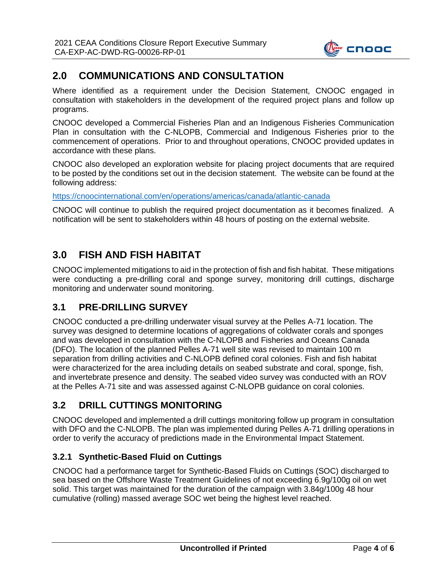

# **2.0 COMMUNICATIONS AND CONSULTATION**

Where identified as a requirement under the Decision Statement, CNOOC engaged in consultation with stakeholders in the development of the required project plans and follow up programs.

CNOOC developed a Commercial Fisheries Plan and an Indigenous Fisheries Communication Plan in consultation with the C-NLOPB, Commercial and Indigenous Fisheries prior to the commencement of operations. Prior to and throughout operations, CNOOC provided updates in accordance with these plans.

CNOOC also developed an exploration website for placing project documents that are required to be posted by the conditions set out in the decision statement. The website can be found at the following address:

<https://cnoocinternational.com/en/operations/americas/canada/atlantic-canada>

CNOOC will continue to publish the required project documentation as it becomes finalized. A notification will be sent to stakeholders within 48 hours of posting on the external website.

# **3.0 FISH AND FISH HABITAT**

CNOOC implemented mitigations to aid in the protection of fish and fish habitat. These mitigations were conducting a pre-drilling coral and sponge survey, monitoring drill cuttings, discharge monitoring and underwater sound monitoring.

## **3.1 PRE-DRILLING SURVEY**

CNOOC conducted a pre-drilling underwater visual survey at the Pelles A-71 location. The survey was designed to determine locations of aggregations of coldwater corals and sponges and was developed in consultation with the C-NLOPB and Fisheries and Oceans Canada (DFO). The location of the planned Pelles A-71 well site was revised to maintain 100 m separation from drilling activities and C-NLOPB defined coral colonies. Fish and fish habitat were characterized for the area including details on seabed substrate and coral, sponge, fish, and invertebrate presence and density. The seabed video survey was conducted with an ROV at the Pelles A-71 site and was assessed against C-NLOPB guidance on coral colonies.

## **3.2 DRILL CUTTINGS MONITORING**

CNOOC developed and implemented a drill cuttings monitoring follow up program in consultation with DFO and the C-NLOPB. The plan was implemented during Pelles A-71 drilling operations in order to verify the accuracy of predictions made in the Environmental Impact Statement.

#### **3.2.1 Synthetic-Based Fluid on Cuttings**

CNOOC had a performance target for Synthetic-Based Fluids on Cuttings (SOC) discharged to sea based on the Offshore Waste Treatment Guidelines of not exceeding 6.9g/100g oil on wet solid. This target was maintained for the duration of the campaign with 3.84g/100g 48 hour cumulative (rolling) massed average SOC wet being the highest level reached.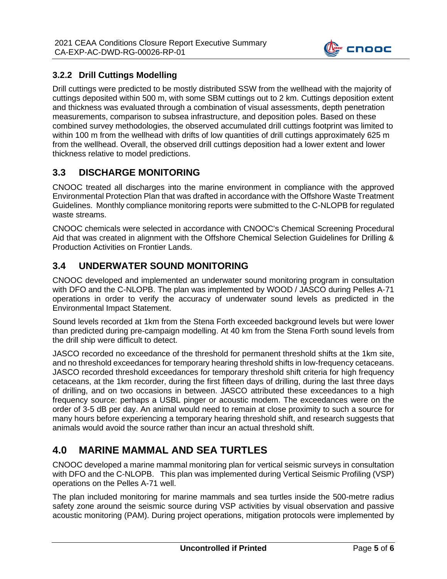

#### **3.2.2 Drill Cuttings Modelling**

Drill cuttings were predicted to be mostly distributed SSW from the wellhead with the majority of cuttings deposited within 500 m, with some SBM cuttings out to 2 km. Cuttings deposition extent and thickness was evaluated through a combination of visual assessments, depth penetration measurements, comparison to subsea infrastructure, and deposition poles. Based on these combined survey methodologies, the observed accumulated drill cuttings footprint was limited to within 100 m from the wellhead with drifts of low quantities of drill cuttings approximately 625 m from the wellhead. Overall, the observed drill cuttings deposition had a lower extent and lower thickness relative to model predictions.

## **3.3 DISCHARGE MONITORING**

CNOOC treated all discharges into the marine environment in compliance with the approved Environmental Protection Plan that was drafted in accordance with the Offshore Waste Treatment Guidelines. Monthly compliance monitoring reports were submitted to the C-NLOPB for regulated waste streams.

CNOOC chemicals were selected in accordance with CNOOC's Chemical Screening Procedural Aid that was created in alignment with the Offshore Chemical Selection Guidelines for Drilling & Production Activities on Frontier Lands.

## **3.4 UNDERWATER SOUND MONITORING**

CNOOC developed and implemented an underwater sound monitoring program in consultation with DFO and the C-NLOPB. The plan was implemented by WOOD / JASCO during Pelles A-71 operations in order to verify the accuracy of underwater sound levels as predicted in the Environmental Impact Statement.

Sound levels recorded at 1km from the Stena Forth exceeded background levels but were lower than predicted during pre-campaign modelling. At 40 km from the Stena Forth sound levels from the drill ship were difficult to detect.

JASCO recorded no exceedance of the threshold for permanent threshold shifts at the 1km site, and no threshold exceedances for temporary hearing threshold shifts in low-frequency cetaceans. JASCO recorded threshold exceedances for temporary threshold shift criteria for high frequency cetaceans, at the 1km recorder, during the first fifteen days of drilling, during the last three days of drilling, and on two occasions in between. JASCO attributed these exceedances to a high frequency source: perhaps a USBL pinger or acoustic modem. The exceedances were on the order of 3-5 dB per day. An animal would need to remain at close proximity to such a source for many hours before experiencing a temporary hearing threshold shift, and research suggests that animals would avoid the source rather than incur an actual threshold shift.

# **4.0 MARINE MAMMAL AND SEA TURTLES**

CNOOC developed a marine mammal monitoring plan for vertical seismic surveys in consultation with DFO and the C-NLOPB. This plan was implemented during Vertical Seismic Profiling (VSP) operations on the Pelles A-71 well.

The plan included monitoring for marine mammals and sea turtles inside the 500-metre radius safety zone around the seismic source during VSP activities by visual observation and passive acoustic monitoring (PAM). During project operations, mitigation protocols were implemented by